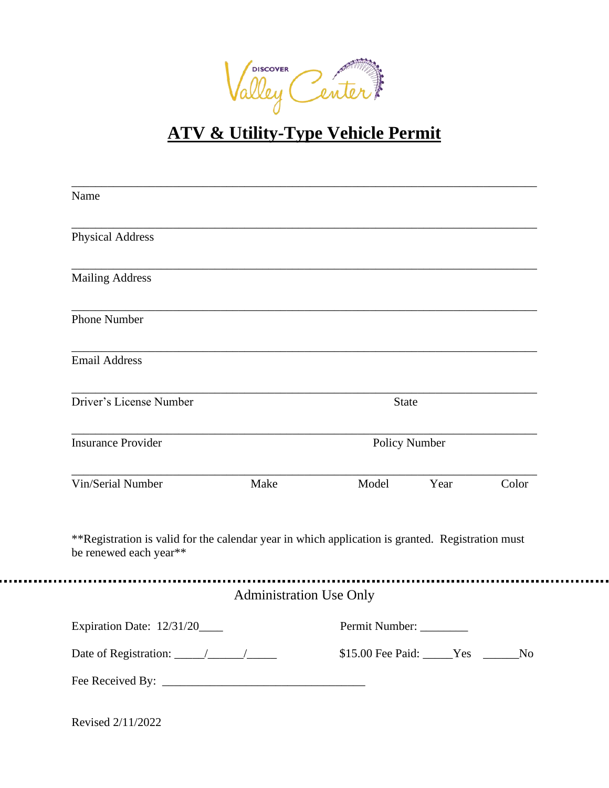

## **ATV & Utility-Type Vehicle Permit**

| Name                                                                                                                       |                                |               |                                     |       |
|----------------------------------------------------------------------------------------------------------------------------|--------------------------------|---------------|-------------------------------------|-------|
| <b>Physical Address</b>                                                                                                    |                                |               |                                     |       |
| <b>Mailing Address</b>                                                                                                     |                                |               |                                     |       |
| <b>Phone Number</b>                                                                                                        |                                |               |                                     |       |
| <b>Email Address</b>                                                                                                       |                                |               |                                     |       |
| Driver's License Number                                                                                                    |                                |               | <b>State</b>                        |       |
| <b>Insurance Provider</b>                                                                                                  |                                | Policy Number |                                     |       |
| Vin/Serial Number                                                                                                          | Make                           | Model         | Year                                | Color |
| **Registration is valid for the calendar year in which application is granted. Registration must<br>be renewed each year** |                                |               |                                     |       |
|                                                                                                                            | <b>Administration Use Only</b> |               |                                     |       |
| Expiration Date: 12/31/20                                                                                                  | Permit Number:                 |               |                                     |       |
|                                                                                                                            |                                |               | \$15.00 Fee Paid: _____Yes ______No |       |
|                                                                                                                            |                                |               |                                     |       |

Revised 2/11/2022

. . . . . . . . . . .